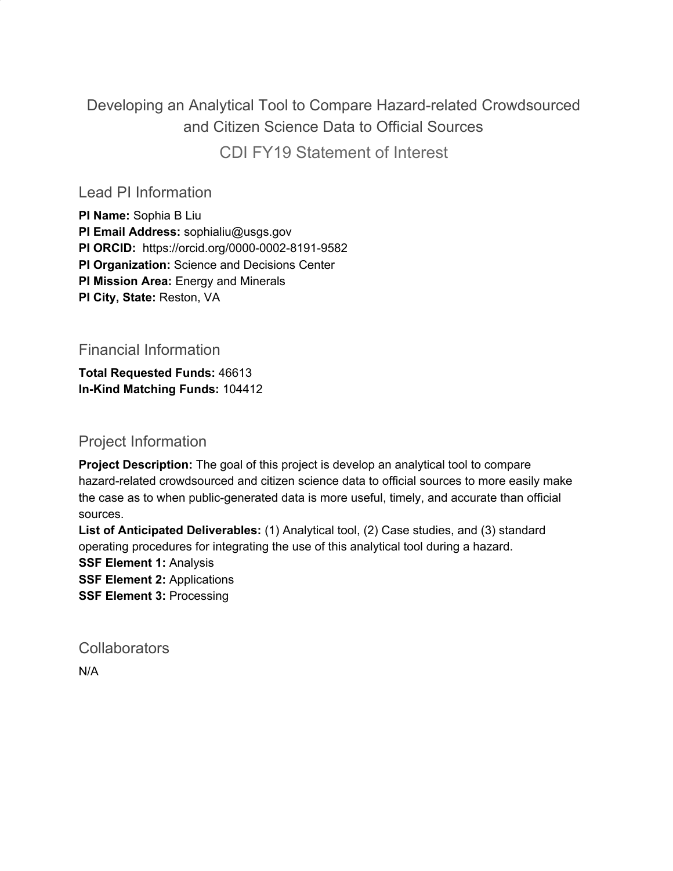Developing an Analytical Tool to Compare Hazard-related Crowdsourced and Citizen Science Data to Official Sources CDI FY19 Statement of Interest

Lead PI Information

**PI Name:** Sophia B Liu **PI Email Address:** sophialiu@usgs.gov **PI ORCID:** https://orcid.org/0000-0002-8191-9582 **PI Organization:** Science and Decisions Center **PI Mission Area:** Energy and Minerals **PI City, State:** Reston, VA

Financial Information

**Total Requested Funds:** 46613 **In-Kind Matching Funds:** 104412

Project Information

**Project Description:** The goal of this project is develop an analytical tool to compare hazard-related crowdsourced and citizen science data to official sources to more easily make the case as to when public-generated data is more useful, timely, and accurate than official sources.

**List of Anticipated Deliverables:** (1) Analytical tool, (2) Case studies, and (3) standard operating procedures for integrating the use of this analytical tool during a hazard.

**SSF Element 1:** Analysis

**SSF Element 2:** Applications

**SSF Element 3:** Processing

**Collaborators** 

N/A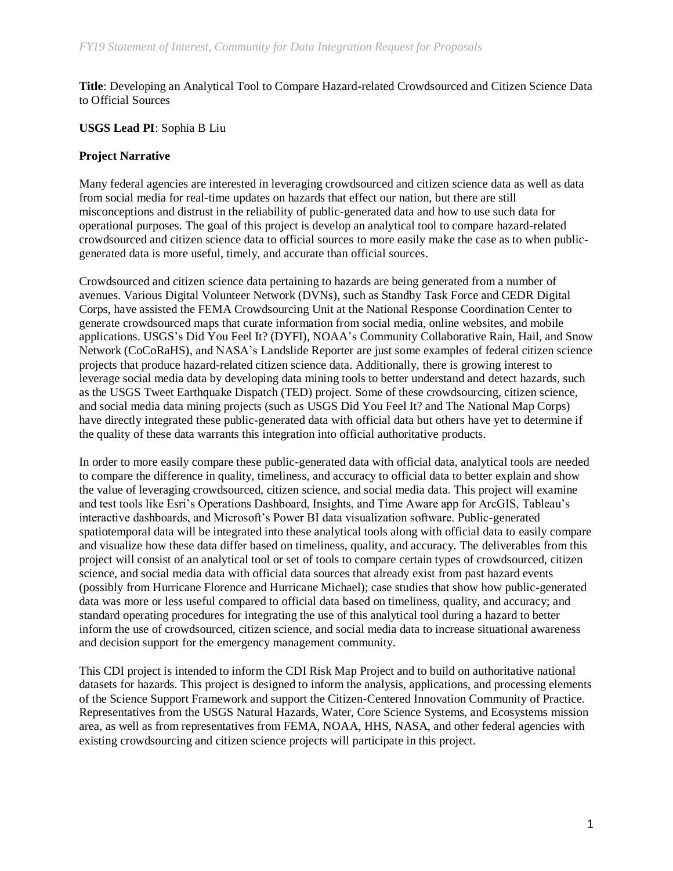**Title**: Developing an Analytical Tool to Compare Hazard-related Crowdsourced and Citizen Science Data to Official Sources

**USGS Lead PI**: Sophia B Liu

## **Project Narrative**

Many federal agencies are interested in leveraging crowdsourced and citizen science data as well as data from social media for real-time updates on hazards that effect our nation, but there are still misconceptions and distrust in the reliability of public-generated data and how to use such data for operational purposes. The goal of this project is develop an analytical tool to compare hazard-related crowdsourced and citizen science data to official sources to more easily make the case as to when publicgenerated data is more useful, timely, and accurate than official sources.

Crowdsourced and citizen science data pertaining to hazards are being generated from a number of avenues. Various Digital Volunteer Network (DVNs), such as Standby Task Force and CEDR Digital Corps, have assisted the FEMA Crowdsourcing Unit at the National Response Coordination Center to generate crowdsourced maps that curate information from social media, online websites, and mobile applications. USGS's Did You Feel It? (DYFI), NOAA's Community Collaborative Rain, Hail, and Snow Network (CoCoRaHS), and NASA's Landslide Reporter are just some examples of federal citizen science projects that produce hazard-related citizen science data. Additionally, there is growing interest to leverage social media data by developing data mining tools to better understand and detect hazards, such as the USGS Tweet Earthquake Dispatch (TED) project. Some of these crowdsourcing, citizen science, and social media data mining projects (such as USGS Did You Feel It? and The National Map Corps) have directly integrated these public-generated data with official data but others have yet to determine if the quality of these data warrants this integration into official authoritative products.

In order to more easily compare these public-generated data with official data, analytical tools are needed to compare the difference in quality, timeliness, and accuracy to official data to better explain and show the value of leveraging crowdsourced, citizen science, and social media data. This project will examine and test tools like Esri's Operations Dashboard, Insights, and Time Aware app for ArcGIS, Tableau's interactive dashboards, and Microsoft's Power BI data visualization software. Public-generated spatiotemporal data will be integrated into these analytical tools along with official data to easily compare and visualize how these data differ based on timeliness, quality, and accuracy. The deliverables from this project will consist of an analytical tool or set of tools to compare certain types of crowdsourced, citizen science, and social media data with official data sources that already exist from past hazard events (possibly from Hurricane Florence and Hurricane Michael); case studies that show how public-generated data was more or less useful compared to official data based on timeliness, quality, and accuracy; and standard operating procedures for integrating the use of this analytical tool during a hazard to better inform the use of crowdsourced, citizen science, and social media data to increase situational awareness and decision support for the emergency management community.

This CDI project is intended to inform the CDI Risk Map Project and to build on authoritative national datasets for hazards. This project is designed to inform the analysis, applications, and processing elements of the Science Support Framework and support the Citizen-Centered Innovation Community of Practice. Representatives from the USGS Natural Hazards, Water, Core Science Systems, and Ecosystems mission area, as well as from representatives from FEMA, NOAA, HHS, NASA, and other federal agencies with existing crowdsourcing and citizen science projects will participate in this project.